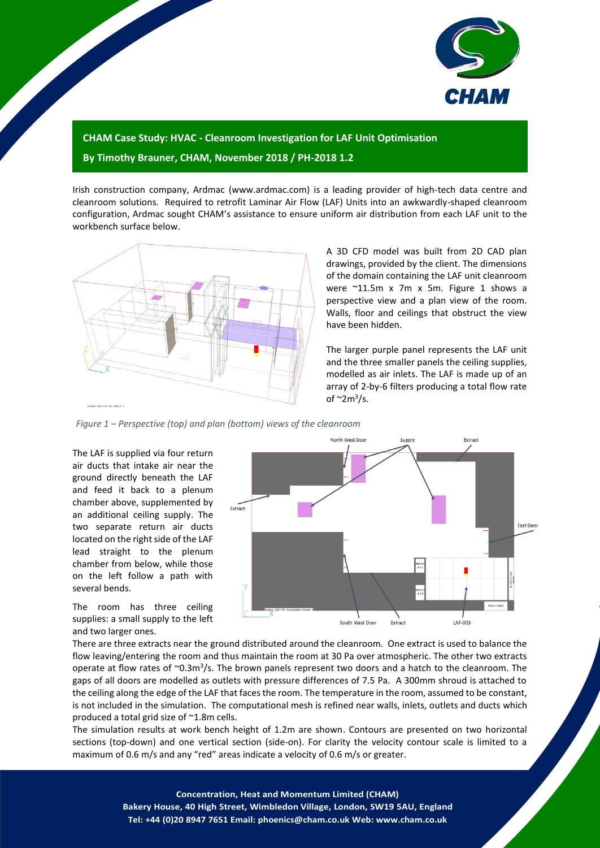

## **CHAM Case Study: HVAC - Cleanroom Investigation for LAF Unit Optimisation By Timothy Brauner, CHAM, November 2018 / PH-2018 1.2**

Irish construction company, Ardmac (www.ardmac.com) is a leading provider of high-tech data centre and cleanroom solutions. Required to retrofit Laminar Air Flow (LAF) Units into an awkwardly-shaped cleanroom configuration, Ardmac sought CHAM's assistance to ensure uniform air distribution from each LAF unit to the workbench surface below.



A 3D CFD model was built from 2D CAD plan drawings, provided by the client. The dimensions of the domain containing the LAF unit cleanroom were ~11.5m x 7m x 5m. [Figure 1](#page-0-0) shows a perspective view and a plan view of the room. Walls, floor and ceilings that obstruct the view have been hidden.

The larger purple panel represents the LAF unit and the three smaller panels the ceiling supplies, modelled as air inlets. The LAF is made up of an array of 2-by-6 filters producing a total flow rate of  $\sim$ 2m<sup>3</sup>/s.

<span id="page-0-0"></span>*Figure 1 – Perspective (top) and plan (bottom) views of the cleanroom* 

The LAF is supplied via four return air ducts that intake air near the ground directly beneath the LAF and feed it back to a plenum chamber above, supplemented by an additional ceiling supply. The two separate return air ducts located on the right side of the LAF lead straight to the plenum chamber from below, while those on the left follow a path with several bends.



The room has three ceiling supplies: a small supply to the left and two larger ones.

There are three extracts near the ground distributed around the cleanroom. One extract is used to balance the flow leaving/entering the room and thus maintain the room at 30 Pa over atmospheric. The other two extracts operate at flow rates of ~0.3m<sup>3</sup>/s. The brown panels represent two doors and a hatch to the cleanroom. The gaps of all doors are modelled as outlets with pressure differences of 7.5 Pa. A 300mm shroud is attached to the ceiling along the edge of the LAF that faces the room. The temperature in the room, assumed to be constant, is not included in the simulation. The computational mesh is refined near walls, inlets, outlets and ducts which produced a total grid size of ~1.8m cells.

The simulation results at work bench height of 1.2m are shown. Contours are presented on two horizontal sections (top-down) and one vertical section (side-on). For clarity the velocity contour scale is limited to a maximum of 0.6 m/s and any "red" areas indicate a velocity of 0.6 m/s or greater.

> 1 **Concentration, Heat and Momentum Limited (CHAM) Bakery House, 40 High Street, Wimbledon Village, London, SW19 5AU, England Tel: +44 (0)20 8947 7651 Email: phoenics@cham.co.uk Web: www.cham.co.uk**